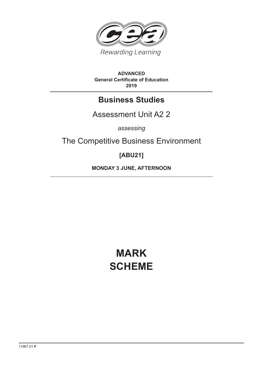

**ADVANCED General Certificate of Education 2019**

# **Business Studies**

# Assessment Unit A2 2

*assessing*

The Competitive Business Environment

# **[ABU21]**

**MONDAY 3 JUNE, AFTERNOON**

# **MARK SCHEME**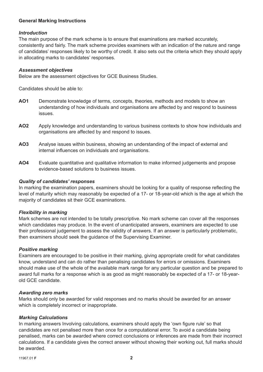#### **General Marking Instructions**

#### *Introduction*

The main purpose of the mark scheme is to ensure that examinations are marked accurately, consistently and fairly. The mark scheme provides examiners with an indication of the nature and range of candidates' responses likely to be worthy of credit. It also sets out the criteria which they should apply in allocating marks to candidates' responses.

#### *Assessment objectives*

Below are the assessment objectives for GCE Business Studies.

Candidates should be able to:

- **AO1** Demonstrate knowledge of terms, concepts, theories, methods and models to show an understanding of how individuals and organisations are affected by and respond to business issues.
- **AO2** Apply knowledge and understanding to various business contexts to show how individuals and organisations are affected by and respond to issues.
- **AO3** Analyse issues within business, showing an understanding of the impact of external and internal influences on individuals and organisations.
- **AO4** Evaluate quantitative and qualitative information to make informed judgements and propose evidence-based solutions to business issues.

#### *Quality of candidates' responses*

In marking the examination papers, examiners should be looking for a quality of response reflecting the level of maturity which may reasonably be expected of a 17- or 18-year-old which is the age at which the majority of candidates sit their GCE examinations.

#### *Flexibility in marking*

Mark schemes are not intended to be totally prescriptive. No mark scheme can cover all the responses which candidates may produce. In the event of unanticipated answers, examiners are expected to use their professional judgement to assess the validity of answers. If an answer is particularly problematic, then examiners should seek the guidance of the Supervising Examiner.

#### *Positive marking*

Examiners are encouraged to be positive in their marking, giving appropriate credit for what candidates know, understand and can do rather than penalising candidates for errors or omissions. Examiners should make use of the whole of the available mark range for any particular question and be prepared to award full marks for a response which is as good as might reasonably be expected of a 17- or 18-yearold GCE candidate.

#### *Awarding zero marks*

Marks should only be awarded for valid responses and no marks should be awarded for an answer which is completely incorrect or inappropriate.

#### *Marking Calculations*

In marking answers Involving calculations, examiners should apply the 'own figure rule' so that candidates are not penalised more than once for a computational error. To avoid a candidate being penalised, marks can be awarded where correct conclusions or inferences are made from their incorrect calculations. If a candidate gives the correct answer without showing their working out, full marks should be awarded.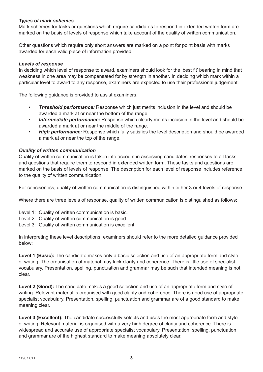#### *Types of mark schemes*

Mark schemes for tasks or questions which require candidates to respond in extended written form are marked on the basis of levels of response which take account of the quality of written communication.

Other questions which require only short answers are marked on a point for point basis with marks awarded for each valid piece of information provided.

#### *Levels of response*

In deciding which level of response to award, examiners should look for the 'best fit' bearing in mind that weakness in one area may be compensated for by strength in another. In deciding which mark within a particular level to award to any response, examiners are expected to use their professional judgement.

The following guidance is provided to assist examiners.

- *Threshold performance:* Response which just merits inclusion in the level and should be awarded a mark at or near the bottom of the range.
- *Intermediate performance:* Response which clearly merits inclusion in the level and should be awarded a mark at or near the middle of the range.
- High performance: Response which fully satisfies the level description and should be awarded a mark at or near the top of the range.

#### *Quality of written communication*

Quality of written communication is taken into account in assessing candidates' responses to all tasks and questions that require them to respond in extended written form. These tasks and questions are marked on the basis of levels of response. The description for each level of response includes reference to the quality of written communication.

For conciseness, quality of written communication is distinguished within either 3 or 4 levels of response.

Where there are three levels of response, quality of written communication is distinguished as follows:

- Level 1: Quality of written communication is basic.
- Level 2: Quality of written communication is good.
- Level 3: Quality of written communication is excellent.

In interpreting these level descriptions, examiners should refer to the more detailed guidance provided below:

**Level 1 (Basic):** The candidate makes only a basic selection and use of an appropriate form and style of writing. The organisation of material may lack clarity and coherence. There is little use of specialist vocabulary. Presentation, spelling, punctuation and grammar may be such that intended meaning is not clear.

**Level 2 (Good):** The candidate makes a good selection and use of an appropriate form and style of writing. Relevant material is organised with good clarity and coherence. There is good use of appropriate specialist vocabulary. Presentation, spelling, punctuation and grammar are of a good standard to make meaning clear.

**Level 3 (Excellent):** The candidate successfully selects and uses the most appropriate form and style of writing. Relevant material is organised with a very high degree of clarity and coherence. There is widespread and accurate use of appropriate specialist vocabulary. Presentation, spelling, punctuation and grammar are of the highest standard to make meaning absolutely clear.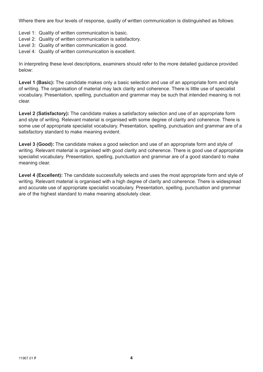Where there are four levels of response, quality of written communication is distinguished as follows:

- Level 1: Quality of written communication is basic.
- Level 2: Quality of written communication is satisfactory.
- Level 3: Quality of written communication is good.
- Level 4: Quality of written communication is excellent.

In interpreting these level descriptions, examiners should refer to the more detailed guidance provided below:

Level 1 (Basic): The candidate makes only a basic selection and use of an appropriate form and style of writing. The organisation of material may lack clarity and coherence. There is little use of specialist vocabulary. Presentation, spelling, punctuation and grammar may be such that intended meaning is not clear.

**Level 2 (Satisfactory):** The candidate makes a satisfactory selection and use of an appropriate form and style of writing. Relevant material is organised with some degree of clarity and coherence. There is some use of appropriate specialist vocabulary. Presentation, spelling, punctuation and grammar are of a satisfactory standard to make meaning evident.

**Level 3 (Good):** The candidate makes a good selection and use of an appropriate form and style of writing. Relevant material is organised with good clarity and coherence. There is good use of appropriate specialist vocabulary. Presentation, spelling, punctuation and grammar are of a good standard to make meaning clear.

Level 4 (Excellent): The candidate successfully selects and uses the most appropriate form and style of writing. Relevant material is organised with a high degree of clarity and coherence. There is widespread and accurate use of appropriate specialist vocabulary. Presentation, spelling, punctuation and grammar are of the highest standard to make meaning absolutely clear.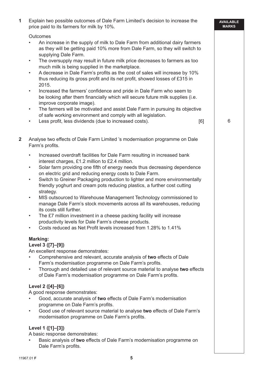| 1                       | Explain two possible outcomes of Dale Farm Limited's decision to increase the<br>price paid to its farmers for milk by 10%.                                                                                                                                                                                                                                                                                                                                                                                                                                                                                                                                                                                                                                                                                                                                                                                                                                                      | <b>AVAILABLE</b><br><b>MARKS</b> |
|-------------------------|----------------------------------------------------------------------------------------------------------------------------------------------------------------------------------------------------------------------------------------------------------------------------------------------------------------------------------------------------------------------------------------------------------------------------------------------------------------------------------------------------------------------------------------------------------------------------------------------------------------------------------------------------------------------------------------------------------------------------------------------------------------------------------------------------------------------------------------------------------------------------------------------------------------------------------------------------------------------------------|----------------------------------|
|                         | Outcomes<br>An increase in the supply of milk to Dale Farm from additional dairy farmers<br>as they will be getting paid 10% more from Dale Farm, so they will switch to<br>supplying Dale Farm.<br>The oversupply may result in future milk price decreases to farmers as too<br>$\bullet$<br>much milk is being supplied in the marketplace.<br>A decrease in Dale Farm's profits as the cost of sales will increase by 10%<br>$\bullet$<br>thus reducing its gross profit and its net profit, showed losses of £315 in<br>2015.<br>Increased the farmers' confidence and pride in Dale Farm who seem to<br>$\bullet$<br>be looking after them financially which will secure future milk supplies (i.e.<br>improve corporate image).<br>The farmers will be motivated and assist Dale Farm in pursuing its objective<br>$\bullet$<br>of safe working environment and comply with all legislation.<br>Less profit, less dividends (due to increased costs).<br>[6]<br>$\bullet$ | 6                                |
| $\overline{\mathbf{2}}$ | Analyse two effects of Dale Farm Limited 's modernisation programme on Dale<br>Farm's profits.                                                                                                                                                                                                                                                                                                                                                                                                                                                                                                                                                                                                                                                                                                                                                                                                                                                                                   |                                  |
|                         | Increased overdraft facilities for Dale Farm resulting in increased bank<br>$\bullet$<br>interest charges, £1.2 million to £2.4 million.<br>Solar farm providing one fifth of energy needs thus decreasing dependence<br>$\bullet$<br>on electric grid and reducing energy costs to Dale Farm.<br>Switch to Greiner Packaging production to lighter and more environmentally<br>$\bullet$<br>friendly yoghurt and cream pots reducing plastics, a further cost cutting<br>strategy.<br>MIS outsourced to Warehouse Management Technology commissioned to<br>$\bullet$<br>manage Dale Farm's stock movements across all its warehouses, reducing<br>its costs still further.<br>The £7 million investment in a cheese packing facility will increase<br>productivity levels for Dale Farm's cheese products.<br>Costs reduced as Net Profit levels increased from 1.28% to 1.41%                                                                                                  |                                  |
|                         | Marking:<br>Level 3 ([7]-[9])<br>An excellent response demonstrates:<br>Comprehensive and relevant, accurate analysis of two effects of Dale<br>Farm's modernisation programme on Dale Farm's profits.<br>Thorough and detailed use of relevant source material to analyse two effects<br>$\bullet$<br>of Dale Farm's modernisation programme on Dale Farm's profits.<br>Level 2 ([4]-[6])<br>A good response demonstrates:<br>Good, accurate analysis of two effects of Dale Farm's modernisation<br>programme on Dale Farm's profits.<br>Good use of relevant source material to analyse two effects of Dale Farm's<br>$\bullet$<br>modernisation programme on Dale Farm's profits.                                                                                                                                                                                                                                                                                            |                                  |
|                         | Level 1 ([1]-[3])<br>A basic response demonstrates:<br>Basic analysis of two effects of Dale Farm's modernisation programme on<br>Dale Farm's profits.                                                                                                                                                                                                                                                                                                                                                                                                                                                                                                                                                                                                                                                                                                                                                                                                                           |                                  |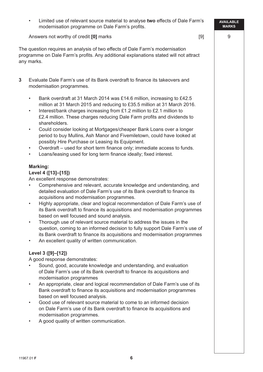• Limited use of relevant source material to analyse **two** effects of Dale Farm's modernisation programme on Dale Farm's profits.

Answers not worthy of credit **[0]** marks [9]

The question requires an analysis of two effects of Dale Farm's modernisation programme on Dale Farm's profits. Any additional explanations stated will not attract any marks.

- **3** Evaluate Dale Farm's use of its Bank overdraft to finance its takeovers and modernisation programmes.
	- Bank overdraft at 31 March 2014 was £14.6 million, increasing to £42.5 million at 31 March 2015 and reducing to £35.5 million at 31 March 2016.
	- Interest/bank charges increasing from £1.2 million to £2.1 million to £2.4 million. These charges reducing Dale Farm profits and dividends to shareholders.
	- Could consider looking at Mortgages/cheaper Bank Loans over a longer period to buy Mullins, Ash Manor and Fivemiletown, could have looked at possibly Hire Purchase or Leasing its Equipment.
	- Overdraft used for short term finance only; immediate access to funds.
	- Loans/leasing used for long term finance ideally; fixed interest.

#### **Marking:**

#### **Level 4 ([13]–[15])**

An excellent response demonstrates:

- Comprehensive and relevant, accurate knowledge and understanding, and detailed evaluation of Dale Farm's use of its Bank overdraft to finance its acquisitions and modernisation programmes.
- Highly appropriate, clear and logical recommendation of Dale Farm's use of its Bank overdraft to finance its acquisitions and modernisation programmes based on well focused and sound analysis.
- Thorough use of relevant source material to address the issues in the question, coming to an informed decision to fully support Dale Farm's use of its Bank overdraft to finance its acquisitions and modernisation programmes
- An excellent quality of written communication.

#### **Level 3 ([9]–[12])**

A good response demonstrates:

- Sound, good, accurate knowledge and understanding, and evaluation of Dale Farm's use of its Bank overdraft to finance its acquisitions and modernisation programmes
- An appropriate, clear and logical recommendation of Dale Farm's use of its Bank overdraft to finance its acquisitions and modernisation programmes based on well focused analysis.
- Good use of relevant source material to come to an informed decision on Dale Farm's use of its Bank overdraft to finance its acquisitions and modernisation programmes.
- A good quality of written communication.

**AVAILABLE MARKS**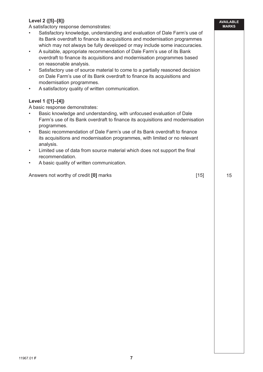### **Level 2 ([5]–[8])**

A satisfactory response demonstrates:

- Satisfactory knowledge, understanding and evaluation of Dale Farm's use of its Bank overdraft to finance its acquisitions and modernisation programmes which may not always be fully developed or may include some inaccuracies.
- A suitable, appropriate recommendation of Dale Farm's use of its Bank overdraft to finance its acquisitions and modernisation programmes based on reasonable analysis.
- Satisfactory use of source material to come to a partially reasoned decision on Dale Farm's use of its Bank overdraft to finance its acquisitions and modernisation programmes.
- A satisfactory quality of written communication.

#### **Level 1 ([1]–[4])**

A basic response demonstrates:

- Basic knowledge and understanding, with unfocused evaluation of Dale Farm's use of its Bank overdraft to finance its acquisitions and modernisation programmes.
- Basic recommendation of Dale Farm's use of its Bank overdraft to finance its acquisitions and modernisation programmes, with limited or no relevant analysis.
- Limited use of data from source material which does not support the final recommendation.
- A basic quality of written communication.

Answers not worthy of credit **[0]** marks [15]

15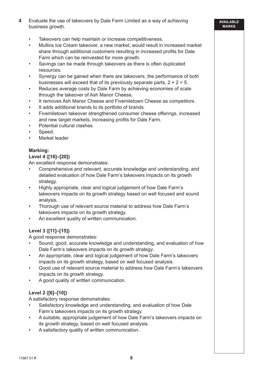- **4** Evaluate the use of takeovers by Dale Farm Limited as a way of achieving business growth.
	- Takeovers can help maintain or increase competitiveness.
	- Mullins Ice Cream takeover, a new market, would result in increased market share through additional customers resulting in increased profits for Dale Farm which can be reinvested for more growth.
	- Savings can be made through takeovers as there is often duplicated resources.
	- Synergy can be gained when there are takeovers, the performance of both businesses will exceed that of its previously separate parts,  $2 + 2 = 5$ .
	- Reduces average costs by Dale Farm by achieving economies of scale through the takeover of Ash Manor Cheese.
	- It removes Ash Manor Cheese and Fivemiletown Cheese as competitors.
	- It adds additional brands to its portfolio of brands.
	- Fivemiletown takeover strengthened consumer cheese offerings, increased and new target markets, increasing profits for Dale Farm.
	- Potential cultural clashes.
	- Speed.
	- Market leader

#### **Marking:**

#### **Level 4 ([16]–[20])**

An excellent response demonstrates:

- Comprehensive and relevant, accurate knowledge and understanding, and detailed evaluation of how Dale Farm's takeovers impacts on its growth strategy.
- Highly appropriate, clear and logical judgement of how Dale Farm's takeovers impacts on its growth strategy based on well focused and sound analysis.
- Thorough use of relevant source material to address how Dale Farm's takeovers impacts on its growth strategy.
- An excellent quality of written communication.

#### **Level 3 ([11]–[15])**

A good response demonstrates:

- Sound, good, accurate knowledge and understanding, and evaluation of how Dale Farm's takeovers impacts on its growth strategy.
- An appropriate, clear and logical judgement of how Dale Farm's takeovers impacts on its growth strategy, based on well focused analysis.
- Good use of relevant source material to address how Dale Farm's takeovers impacts on its growth strategy.
- A good quality of written communication.

#### **Level 2 ([6]–[10])**

A satisfactory response demonstrates:

- Satisfactory knowledge and understanding, and evaluation of how Dale Farm's takeovers impacts on its growth strategy.
- A suitable, appropriate judgement of how Dale Farm's takeovers impacts on its growth strategy, based on well focused analysis.
- A satisfactory quality of written communication.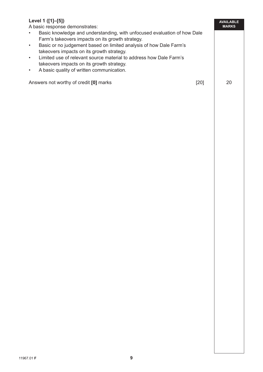## **Level 1 ([1]–[5])**

A basic response demonstrates:

• Basic knowledge and understanding, with unfocused evaluation of how Dale Farm's takeovers impacts on its growth strategy.

20

**AVAILABLE MARKS**

- Basic or no judgement based on limited analysis of how Dale Farm's takeovers impacts on its growth strategy.
- Limited use of relevant source material to address how Dale Farm's takeovers impacts on its growth strategy.
- A basic quality of written communication.

Answers not worthy of credit **[0]** marks [20]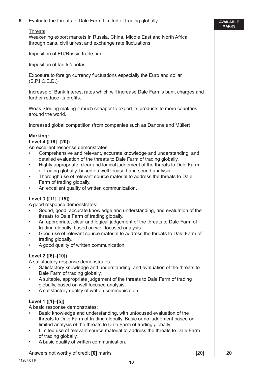**5** Evaluate the threats to Dale Farm Limited of trading globally.

#### **Threats**

 Weakening export markets in Russia, China, Middle East and North Africa through bans, civil unrest and exchange rate fluctuations.

Imposition of EU/Russia trade ban.

Imposition of tariffs/quotas.

Exposure to foreign currency fluctuations especially the Euro and dollar (S.P.I.C.E.D.)

 Increase of Bank Interest rates which will increase Dale Farm's bank charges and further reduce its profits.

 Weak Sterling making it much cheaper to export its products to more countries around the world.

Increased global competition (from companies such as Danone and Müller).

#### **Marking:**

#### **Level 4 ([16]–[20])**

An excellent response demonstrates:

- Comprehensive and relevant, accurate knowledge and understanding, and detailed evaluation of the threats to Dale Farm of trading globally.
- Highly appropriate, clear and logical judgement of the threats to Dale Farm of trading globally, based on well focused and sound analysis.
- Thorough use of relevant source material to address the threats to Dale Farm of trading globally.
- An excellent quality of written communication.

#### **Level 3 ([11]–[15])**

A good response demonstrates:

- Sound, good, accurate knowledge and understanding, and evaluation of the threats to Dale Farm of trading globally.
- An appropriate, clear and logical judgement of the threats to Dale Farm of trading globally, based on well focused analysis.
- Good use of relevant source material to address the threats to Dale Farm of trading globally.
- A good quality of written communication.

#### **Level 2 ([6]–[10])**

A satisfactory response demonstrates:

- Satisfactory knowledge and understanding, and evaluation of the threats to Dale Farm of trading globally.
- A suitable, appropriate judgement of the threats to Dale Farm of trading globally, based on well focused analysis.
- A satisfactory quality of written communication.

#### **Level 1 ([1]–[5])**

A basic response demonstrates:

- Basic knowledge and understanding, with unfocused evaluation of the threats to Dale Farm of trading globally. Basic or no judgement based on limited analysis of the threats to Dale Farm of trading globally.
- Limited use of relevant source material to address the threats to Dale Farm of trading globally.
- A basic quality of written communication.

Answers not worthy of credit **[0]** marks [20]

**AVAILABLE MARKS**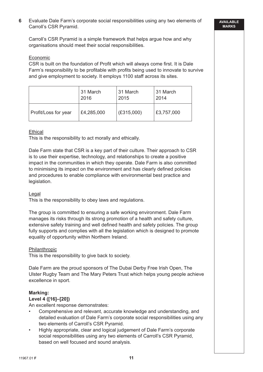**6** Evaluate Dale Farm's corporate social responsibilities using any two elements of Carroll's CSR Pyramid.

 Carroll's CSR Pyramid is a simple framework that helps argue how and why organisations should meet their social responsibilities.

#### Economic

CSR is built on the foundation of Profit which will always come first. It is Dale Farm's responsibility to be profitable with profits being used to innovate to survive and give employment to society. It employs 1100 staff across its sites.

|                      | 31 March   | 31 March   | 131 March  |
|----------------------|------------|------------|------------|
|                      | 2016       | 2015       | 2014       |
| Profit/Loss for year | £4,285,000 | (E315,000) | £3,757,000 |

#### **Ethical**

This is the responsibility to act morally and ethically.

 Dale Farm state that CSR is a key part of their culture. Their approach to CSR is to use their expertise, technology, and relationships to create a positive impact in the communities in which they operate. Dale Farm is also committed to minimising its impact on the environment and has clearly defined policies and procedures to enable compliance with environmental best practice and legislation.

#### Legal

This is the responsibility to obey laws and regulations.

 The group is committed to ensuring a safe working environment. Dale Farm manages its risks through its strong promotion of a health and safety culture, extensive safety training and well defined health and safety policies. The group fully supports and complies with all the legislation which is designed to promote equality of opportunity within Northern Ireland.

#### Philanthropic

This is the responsibility to give back to society.

 Dale Farm are the proud sponsors of The Dubai Derby Free Irish Open, The Ulster Rugby Team and The Mary Peters Trust which helps young people achieve excellence in sport.

## **Marking:**

## **Level 4 ([16]–[20])**

An excellent response demonstrates:

- Comprehensive and relevant, accurate knowledge and understanding, and detailed evaluation of Dale Farm's corporate social responsibilities using any two elements of Carroll's CSR Pyramid.
- Highly appropriate, clear and logical judgement of Dale Farm's corporate social responsibilities using any two elements of Carroll's CSR Pyramid, based on well focused and sound analysis.